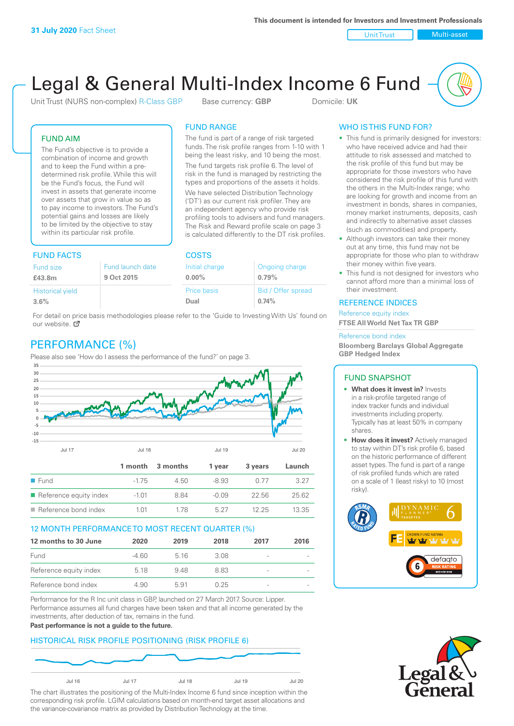Unit Trust Nulti-asset

# Legal & General Multi-Index Income 6 Fund

Unit Trust (NURS non-complex) R-Class GBP Base currency: **GBP** Domicile: UK

The fund is part of a range of risk targeted funds. The risk profile ranges from 1-10 with 1 being the least risky, and 10 being the most. The fund targets risk profile 6. The level of risk in the fund is managed by restricting the types and proportions of the assets it holds. We have selected Distribution Technology ('DT') as our current risk profiler. They are an independent agency who provide risk profiling tools to advisers and fund managers. The Risk and Reward profile scale on page 3 is calculated differently to the DT risk profiles.

FUND RANGE

### FUND AIM

The Fund's objective is to provide a combination of income and growth and to keep the Fund within a predetermined risk profile. While this will be the Fund's focus, the Fund will invest in assets that generate income over assets that grow in value so as to pay income to investors. The Fund's potential gains and losses are likely to be limited by the objective to stay within its particular risk profile.

## FUND FACTS COSTS

| Fund size               | Fund launch date | Initial charge | Ongoing charge     |  |
|-------------------------|------------------|----------------|--------------------|--|
| £43.8m                  | 9 Oct 2015       | $0.00\%$       | 0.79%              |  |
| <b>Historical yield</b> |                  | Price basis    | Bid / Offer spread |  |
| 3.6%                    |                  | Dual           | 0.74%              |  |

For detail on [pric](http://www.legalandgeneral.com/guide)e basis methodologies please refer to the 'Guide to Investing With Us' found on our website.  $\sigma$ 

# PERFORMANCE (%)

Please also see 'How do I assess the performance of the fund?' on page 3.



#### 12 MONTH PERFORMANCE TO MOST RECENT QUARTER (%)

| 12 months to 30 June   | 2020  | 2019 | 2018 | 2017                     | 2016 |
|------------------------|-------|------|------|--------------------------|------|
| Fund                   | -4.60 | 516  | 3.08 |                          |      |
| Reference equity index | 5.18  | 948  | 883  | -                        |      |
| Reference bond index   | 4.90  | 5.91 | በ 25 | $\overline{\phantom{a}}$ |      |

Performance for the R Inc unit class in GBP, launched on 27 March 2017. Source: Lipper. Performance assumes all fund charges have been taken and that all income generated by the investments, after deduction of tax, remains in the fund.

#### **Past performance is not a guide to the future.**

#### HISTORICAL RISK PROFILE POSITIONING (RISK PROFILE 6)



The chart illustrates the positioning of the Multi-Index Income 6 fund since inception within the corresponding risk profile. LGIM calculations based on month-end target asset allocations and the variance-covariance matrix as provided by Distribution Technology at the time.

## WHO IS THIS FUND FOR?

- This fund is primarily designed for investors: who have received advice and had their attitude to risk assessed and matched to the risk profile of this fund but may be appropriate for those investors who have considered the risk profile of this fund with the others in the Multi-Index range; who are looking for growth and income from an investment in bonds, shares in companies, money market instruments, deposits, cash and indirectly to alternative asset classes (such as commodities) and property.
- Although investors can take their money out at any time, this fund may not be appropriate for those who plan to withdraw their money within five years.
- This fund is not designed for investors who cannot afford more than a minimal loss of their investment.

#### REFERENCE INDICES

Reference equity index **FTSE All World Net Tax TR GBP**

#### Reference bond index

**Bloomberg Barclays Global Aggregate GBP Hedged Index**

#### FUND SNAPSHOT

- **• What does it invest in?** Invests in a risk-profile targeted range of index tracker funds and individual investments including property. Typically has at least 50% in company shares.
- **• How does it invest?** Actively managed to stay within DT's risk profile 6, based on the historic performance of different asset types. The fund is part of a range of risk profiled funds which are rated on a scale of 1 (least risky) to 10 (most risky).



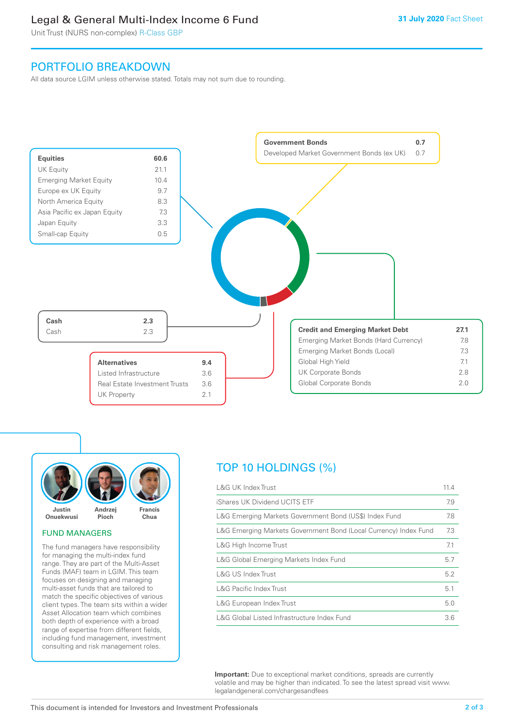# Legal & General Multi-Index Income 6 Fund

Unit Trust (NURS non-complex) R-Class GBP

## PORTFOLIO BREAKDOWN

All data source LGIM unless otherwise stated. Totals may not sum due to rounding.





#### FUND MANAGERS

The fund managers have responsibility for managing the multi-index fund range. They are part of the Multi-Asset Funds (MAF) team in LGIM. This team focuses on designing and managing multi-asset funds that are tailored to match the specific objectives of various client types. The team sits within a wider Asset Allocation team which combines both depth of experience with a broad range of expertise from different fields, including fund management, investment consulting and risk management roles.

# TOP 10 HOLDINGS (%)

| <b>L&amp;G UK Index Trust</b>                                    | 11.4 |
|------------------------------------------------------------------|------|
| iShares UK Dividend UCITS ETF                                    | 7.9  |
| L&G Emerging Markets Government Bond (US\$) Index Fund           | 7.8  |
| L&G Emerging Markets Government Bond (Local Currency) Index Fund | 7.3  |
| L&G High Income Trust                                            | 7.1  |
| L&G Global Emerging Markets Index Fund                           | 5.7  |
| L&G US Index Trust                                               | 5.2  |
| <b>L&amp;G Pacific Index Trust</b>                               | 5.1  |
| L&G European Index Trust                                         | 5.0  |
| L&G Global Listed Infrastructure Index Fund                      | 3.6  |

**Important:** Due to exceptional market conditions, spreads are currently volatile and may be higher than indicated. To see the latest spread visit www. legalandgeneral.com/chargesandfees